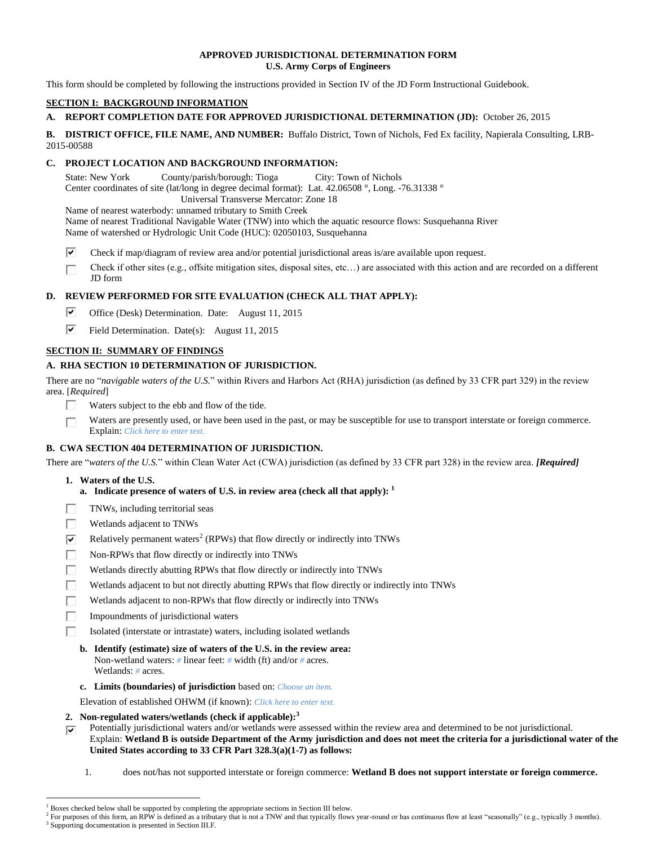### **APPROVED JURISDICTIONAL DETERMINATION FORM U.S. Army Corps of Engineers**

This form should be completed by following the instructions provided in Section IV of the JD Form Instructional Guidebook.

## **SECTION I: BACKGROUND INFORMATION**

## **A. REPORT COMPLETION DATE FOR APPROVED JURISDICTIONAL DETERMINATION (JD):** October 26, 2015

**B. DISTRICT OFFICE, FILE NAME, AND NUMBER:** Buffalo District, Town of Nichols, Fed Ex facility, Napierala Consulting, LRB-2015-00588

## **C. PROJECT LOCATION AND BACKGROUND INFORMATION:**

State: New York County/parish/borough: Tioga City: Town of Nichols Center coordinates of site (lat/long in degree decimal format): Lat. 42.06508 °, Long. -76.31338 ° Universal Transverse Mercator: Zone 18

Name of nearest waterbody: unnamed tributary to Smith Creek

Name of nearest Traditional Navigable Water (TNW) into which the aquatic resource flows: Susquehanna River Name of watershed or Hydrologic Unit Code (HUC): 02050103, Susquehanna

⊽ Check if map/diagram of review area and/or potential jurisdictional areas is/are available upon request.

Check if other sites (e.g., offsite mitigation sites, disposal sites, etc…) are associated with this action and are recorded on a different П JD form

## **D. REVIEW PERFORMED FOR SITE EVALUATION (CHECK ALL THAT APPLY):**

- ⊽ Office (Desk) Determination. Date: August 11, 2015
- ⊽ Field Determination. Date(s): August 11, 2015

# **SECTION II: SUMMARY OF FINDINGS**

## **A. RHA SECTION 10 DETERMINATION OF JURISDICTION.**

There are no "*navigable waters of the U.S.*" within Rivers and Harbors Act (RHA) jurisdiction (as defined by 33 CFR part 329) in the review area. [*Required*]

- П Waters subject to the ebb and flow of the tide.
- П Waters are presently used, or have been used in the past, or may be susceptible for use to transport interstate or foreign commerce. Explain: *Click here to enter text.*

## **B. CWA SECTION 404 DETERMINATION OF JURISDICTION.**

There are "*waters of the U.S.*" within Clean Water Act (CWA) jurisdiction (as defined by 33 CFR part 328) in the review area. *[Required]*

**1. Waters of the U.S.**

 $\overline{a}$ 

- **a. Indicate presence of waters of U.S. in review area (check all that apply): 1**
- г TNWs, including territorial seas
- П Wetlands adjacent to TNWs
- ☑ Relatively permanent waters<sup>2</sup> (RPWs) that flow directly or indirectly into TNWs
- п Non-RPWs that flow directly or indirectly into TNWs
- Wetlands directly abutting RPWs that flow directly or indirectly into TNWs П
- Wetlands adjacent to but not directly abutting RPWs that flow directly or indirectly into TNWs П
- П Wetlands adjacent to non-RPWs that flow directly or indirectly into TNWs
- п Impoundments of jurisdictional waters
	- Isolated (interstate or intrastate) waters, including isolated wetlands
	- **b. Identify (estimate) size of waters of the U.S. in the review area:** Non-wetland waters: *#* linear feet: *#* width (ft) and/or *#* acres. Wetlands: *#* acres.
	- **c. Limits (boundaries) of jurisdiction** based on: *Choose an item.*
	- Elevation of established OHWM (if known): *Click here to enter text.*
- **2. Non-regulated waters/wetlands (check if applicable): 3**
- Potentially jurisdictional waters and/or wetlands were assessed within the review area and determined to be not jurisdictional. ⊽ Explain: **Wetland B is outside Department of the Army jurisdiction and does not meet the criteria for a jurisdictional water of the United States according to 33 CFR Part 328.3(a)(1-7) as follows:**
	- 1. does not/has not supported interstate or foreign commerce: **Wetland B does not support interstate or foreign commerce.**

Boxes checked below shall be supported by completing the appropriate sections in Section III below.

<sup>2</sup> For purposes of this form, an RPW is defined as a tributary that is not a TNW and that typically flows year-round or has continuous flow at least "seasonally" (e.g., typically 3 months). <sup>3</sup> Supporting documentation is presented in Section III.F.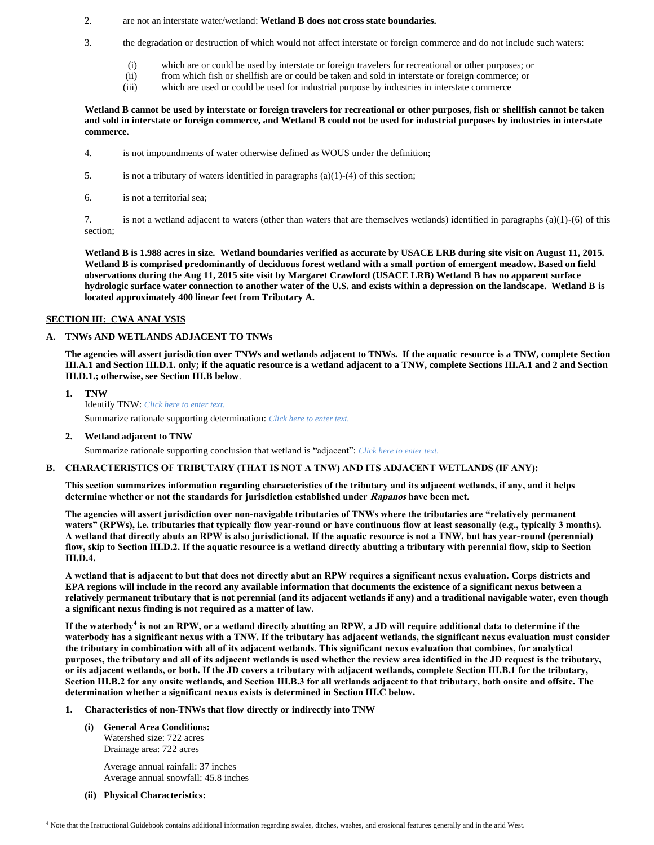#### 2. are not an interstate water/wetland: **Wetland B does not cross state boundaries.**

- 3. the degradation or destruction of which would not affect interstate or foreign commerce and do not include such waters:
	- (i) which are or could be used by interstate or foreign travelers for recreational or other purposes; or
	- (ii) from which fish or shellfish are or could be taken and sold in interstate or foreign commerce; or
	- (iii) which are used or could be used for industrial purpose by industries in interstate commerce

### **Wetland B cannot be used by interstate or foreign travelers for recreational or other purposes, fish or shellfish cannot be taken and sold in interstate or foreign commerce, and Wetland B could not be used for industrial purposes by industries in interstate commerce.**

- 4. is not impoundments of water otherwise defined as WOUS under the definition;
- 5. is not a tributary of waters identified in paragraphs  $(a)(1)-(4)$  of this section;
- 6. is not a territorial sea;

7. is not a wetland adjacent to waters (other than waters that are themselves wetlands) identified in paragraphs (a)(1)-(6) of this section;

**Wetland B is 1.988 acres in size. Wetland boundaries verified as accurate by USACE LRB during site visit on August 11, 2015. Wetland B is comprised predominantly of deciduous forest wetland with a small portion of emergent meadow. Based on field observations during the Aug 11, 2015 site visit by Margaret Crawford (USACE LRB) Wetland B has no apparent surface hydrologic surface water connection to another water of the U.S. and exists within a depression on the landscape. Wetland B is located approximately 400 linear feet from Tributary A.** 

## **SECTION III: CWA ANALYSIS**

### **A. TNWs AND WETLANDS ADJACENT TO TNWs**

**The agencies will assert jurisdiction over TNWs and wetlands adjacent to TNWs. If the aquatic resource is a TNW, complete Section III.A.1 and Section III.D.1. only; if the aquatic resource is a wetland adjacent to a TNW, complete Sections III.A.1 and 2 and Section III.D.1.; otherwise, see Section III.B below**.

**1. TNW**  Identify TNW: *Click here to enter text.*

Summarize rationale supporting determination: *Click here to enter text.*

**2. Wetland adjacent to TNW**

Summarize rationale supporting conclusion that wetland is "adjacent": *Click here to enter text.*

#### **B. CHARACTERISTICS OF TRIBUTARY (THAT IS NOT A TNW) AND ITS ADJACENT WETLANDS (IF ANY):**

**This section summarizes information regarding characteristics of the tributary and its adjacent wetlands, if any, and it helps determine whether or not the standards for jurisdiction established under Rapanos have been met.** 

**The agencies will assert jurisdiction over non-navigable tributaries of TNWs where the tributaries are "relatively permanent waters" (RPWs), i.e. tributaries that typically flow year-round or have continuous flow at least seasonally (e.g., typically 3 months). A wetland that directly abuts an RPW is also jurisdictional. If the aquatic resource is not a TNW, but has year-round (perennial) flow, skip to Section III.D.2. If the aquatic resource is a wetland directly abutting a tributary with perennial flow, skip to Section III.D.4.**

**A wetland that is adjacent to but that does not directly abut an RPW requires a significant nexus evaluation. Corps districts and EPA regions will include in the record any available information that documents the existence of a significant nexus between a relatively permanent tributary that is not perennial (and its adjacent wetlands if any) and a traditional navigable water, even though a significant nexus finding is not required as a matter of law.**

**If the waterbody<sup>4</sup> is not an RPW, or a wetland directly abutting an RPW, a JD will require additional data to determine if the waterbody has a significant nexus with a TNW. If the tributary has adjacent wetlands, the significant nexus evaluation must consider the tributary in combination with all of its adjacent wetlands. This significant nexus evaluation that combines, for analytical purposes, the tributary and all of its adjacent wetlands is used whether the review area identified in the JD request is the tributary, or its adjacent wetlands, or both. If the JD covers a tributary with adjacent wetlands, complete Section III.B.1 for the tributary, Section III.B.2 for any onsite wetlands, and Section III.B.3 for all wetlands adjacent to that tributary, both onsite and offsite. The determination whether a significant nexus exists is determined in Section III.C below.**

### **1. Characteristics of non-TNWs that flow directly or indirectly into TNW**

**(i) General Area Conditions:** Watershed size: 722 acres Drainage area: 722 acres

> Average annual rainfall: 37 inches Average annual snowfall: 45.8 inches

**(ii) Physical Characteristics:**

 $\overline{a}$ <sup>4</sup> Note that the Instructional Guidebook contains additional information regarding swales, ditches, washes, and erosional features generally and in the arid West.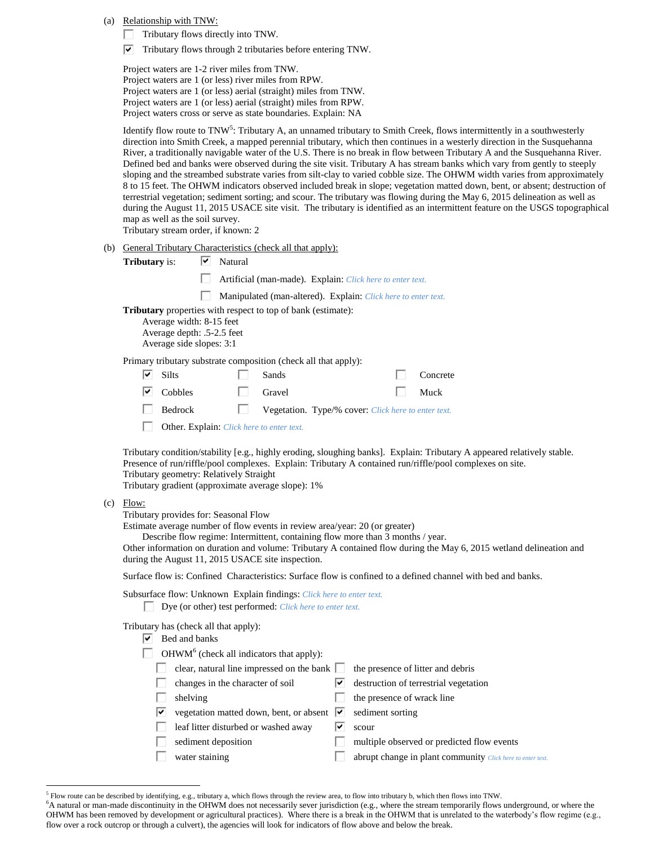(a) Relationship with TNW:

Tributary flows directly into TNW.

 $\triangledown$  Tributary flows through 2 tributaries before entering TNW.

Project waters are 1-2 river miles from TNW. Project waters are 1 (or less) river miles from RPW. Project waters are 1 (or less) aerial (straight) miles from TNW. Project waters are 1 (or less) aerial (straight) miles from RPW. Project waters cross or serve as state boundaries. Explain: NA

Identify flow route to TNW<sup>5</sup>: Tributary A, an unnamed tributary to Smith Creek, flows intermittently in a southwesterly direction into Smith Creek, a mapped perennial tributary, which then continues in a westerly direction in the Susquehanna River, a traditionally navigable water of the U.S. There is no break in flow between Tributary A and the Susquehanna River. Defined bed and banks were observed during the site visit. Tributary A has stream banks which vary from gently to steeply sloping and the streambed substrate varies from silt-clay to varied cobble size. The OHWM width varies from approximately 8 to 15 feet. The OHWM indicators observed included break in slope; vegetation matted down, bent, or absent; destruction of terrestrial vegetation; sediment sorting; and scour. The tributary was flowing during the May 6, 2015 delineation as well as during the August 11, 2015 USACE site visit. The tributary is identified as an intermittent feature on the USGS topographical map as well as the soil survey.

Tributary stream order, if known: 2

(b) General Tributary Characteristics (check all that apply):

| <b>Tributary</b> is:                                                                                                                                      | է | Natural                                                       |        |                                                           |  |          |
|-----------------------------------------------------------------------------------------------------------------------------------------------------------|---|---------------------------------------------------------------|--------|-----------------------------------------------------------|--|----------|
|                                                                                                                                                           |   |                                                               |        | Artificial (man-made). Explain: Click here to enter text. |  |          |
|                                                                                                                                                           |   | Manipulated (man-altered). Explain: Click here to enter text. |        |                                                           |  |          |
| <b>Tributary</b> properties with respect to top of bank (estimate):<br>Average width: 8-15 feet<br>Average depth: .5-2.5 feet<br>Average side slopes: 3:1 |   |                                                               |        |                                                           |  |          |
| Primary tributary substrate composition (check all that apply):                                                                                           |   |                                                               |        |                                                           |  |          |
| <b>Silts</b><br>է                                                                                                                                         |   |                                                               | Sands  |                                                           |  | Concrete |
| Cobbles<br>∣V                                                                                                                                             |   |                                                               | Gravel |                                                           |  | Muck     |
| <b>Bedrock</b>                                                                                                                                            |   |                                                               |        | Vegetation. Type/% cover: Click here to enter text.       |  |          |
| _____                                                                                                                                                     |   |                                                               |        |                                                           |  |          |

 $\Box$ Other. Explain: *Click here to enter text.*

Tributary condition/stability [e.g., highly eroding, sloughing banks]. Explain: Tributary A appeared relatively stable. Presence of run/riffle/pool complexes. Explain: Tributary A contained run/riffle/pool complexes on site. Tributary geometry: Relatively Straight

Tributary gradient (approximate average slope): 1%

(c) Flow:

 $\overline{a}$ 

Tributary provides for: Seasonal Flow

Estimate average number of flow events in review area/year: 20 (or greater)

Describe flow regime: Intermittent, containing flow more than 3 months / year.

Other information on duration and volume: Tributary A contained flow during the May 6, 2015 wetland delineation and during the August 11, 2015 USACE site inspection.

Surface flow is: Confined Characteristics: Surface flow is confined to a defined channel with bed and banks.

Subsurface flow: Unknown Explain findings: *Click here to enter text.*

Dye (or other) test performed: *Click here to enter text.*

Tributary has (check all that apply):

 $OHWM<sup>6</sup>$  (check all indicators that apply):

| clear, natural line impressed on the bank | the presence of litter and debris |
|-------------------------------------------|-----------------------------------|
|-------------------------------------------|-----------------------------------|

- $\Box$  changes in the character of soil  $\Box$  destruction of terrestrial vegetation
	- $\Box$  the presence of wrack line
	- vegetation matted down, bent, or absent  $\forall$  sediment sorting
- leaf litter disturbed or washed away  $\boxed{\triangledown}$  scour
	- sediment deposition multiple observed or predicted flow events
- water staining abrupt change in plant community *Click here to enter text.*

<sup>&</sup>lt;sup>5</sup> Flow route can be described by identifying, e.g., tributary a, which flows through the review area, to flow into tributary b, which then flows into TNW.

<sup>&</sup>lt;sup>6</sup>A natural or man-made discontinuity in the OHWM does not necessarily sever jurisdiction (e.g., where the stream temporarily flows underground, or where the OHWM has been removed by development or agricultural practices). Where there is a break in the OHWM that is unrelated to the waterbody's flow regime (e.g., flow over a rock outcrop or through a culvert), the agencies will look for indicators of flow above and below the break.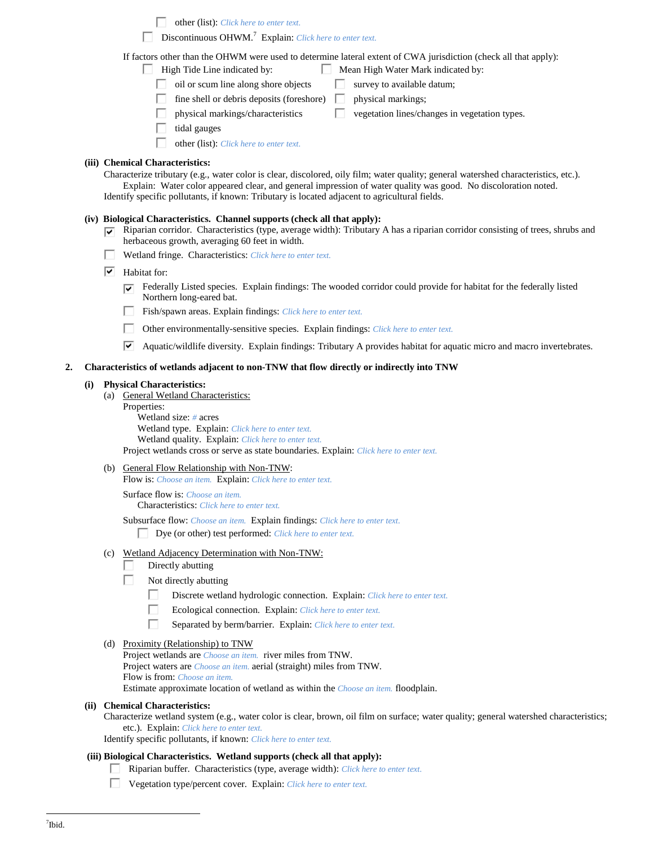other (list): *Click here to enter text.*

Discontinuous OHWM.<sup>7</sup> Explain: *Click here to enter text.*

If factors other than the OHWM were used to determine lateral extent of CWA jurisdiction (check all that apply):

- $\Box$  High Tide Line indicated by:  $\Box$  Mean High Water Mark indicated by:
	- $\Box$  oil or scum line along shore objects  $\Box$  survey to available datum;
		- fine shell or debris deposits (foreshore)  $\Box$  physical markings;
	- physical markings/characteristics  $\Box$  vegetation lines/changes in vegetation types.
	- tidal gauges
	- other (list): *Click here to enter text.*

### **(iii) Chemical Characteristics:**

Characterize tributary (e.g., water color is clear, discolored, oily film; water quality; general watershed characteristics, etc.). Explain: Water color appeared clear, and general impression of water quality was good. No discoloration noted. Identify specific pollutants, if known: Tributary is located adjacent to agricultural fields.

### **(iv) Biological Characteristics. Channel supports (check all that apply):**

- Riparian corridor. Characteristics (type, average width): Tributary A has a riparian corridor consisting of trees, shrubs and ☞ herbaceous growth, averaging 60 feet in width.
- Wetland fringe. Characteristics: *Click here to enter text.*
- $\boxed{\triangleright}$  Habitat for:
	- $\overline{\bullet}$  Federally Listed species. Explain findings: The wooded corridor could provide for habitat for the federally listed Northern long-eared bat.
	- $\Box$ Fish/spawn areas. Explain findings: *Click here to enter text.*
	- п Other environmentally-sensitive species. Explain findings: *Click here to enter text.*
	- ⊽ Aquatic/wildlife diversity. Explain findings: Tributary A provides habitat for aquatic micro and macro invertebrates.

### **2. Characteristics of wetlands adjacent to non-TNW that flow directly or indirectly into TNW**

#### **(i) Physical Characteristics:**

- (a) General Wetland Characteristics:
	- Properties:

Wetland size: *#* acres Wetland type. Explain: *Click here to enter text.* Wetland quality. Explain: *Click here to enter text.* Project wetlands cross or serve as state boundaries. Explain: *Click here to enter text.*

## (b) General Flow Relationship with Non-TNW:

Flow is: *Choose an item.* Explain: *Click here to enter text.*

Surface flow is: *Choose an item.* Characteristics: *Click here to enter text.*

Subsurface flow: *Choose an item.* Explain findings: *Click here to enter text.*

Dye (or other) test performed: *Click here to enter text.*

## (c) Wetland Adjacency Determination with Non-TNW:

- L Directly abutting
- П Not directly abutting
	- П. Discrete wetland hydrologic connection. Explain: *Click here to enter text.*
	- П Ecological connection. Explain: *Click here to enter text.*
	- П Separated by berm/barrier. Explain: *Click here to enter text.*

#### (d) Proximity (Relationship) to TNW

Project wetlands are *Choose an item.* river miles from TNW. Project waters are *Choose an item.* aerial (straight) miles from TNW. Flow is from: *Choose an item.*

Estimate approximate location of wetland as within the *Choose an item.* floodplain.

#### **(ii) Chemical Characteristics:**

Characterize wetland system (e.g., water color is clear, brown, oil film on surface; water quality; general watershed characteristics; etc.). Explain: *Click here to enter text.*

Identify specific pollutants, if known: *Click here to enter text.*

#### **(iii) Biological Characteristics. Wetland supports (check all that apply):**

- Riparian buffer. Characteristics (type, average width): *Click here to enter text.*
- Vegetation type/percent cover. Explain: *Click here to enter text.*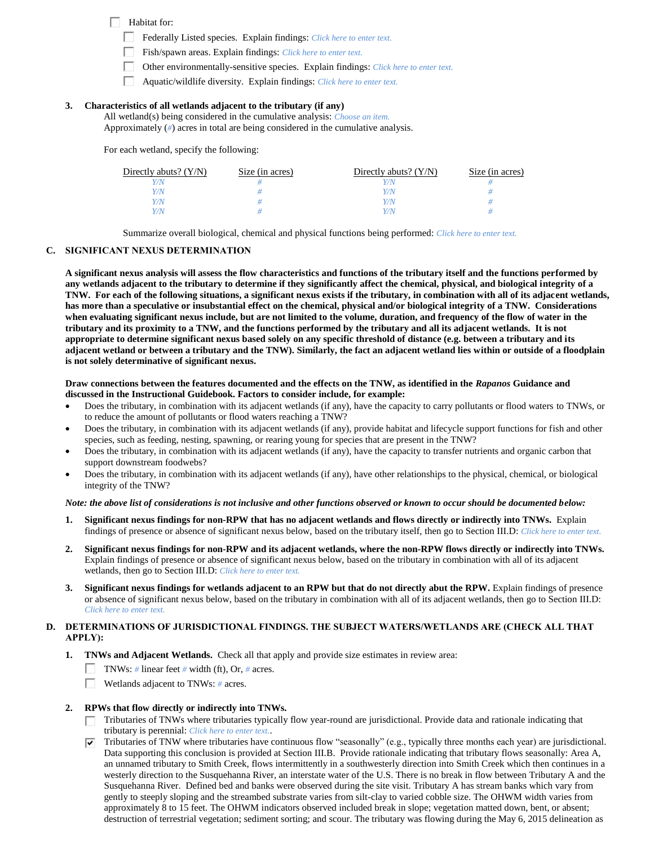Habitat for:

Federally Listed species. Explain findings: *Click here to enter text*.

- Fish/spawn areas. Explain findings: *Click here to enter text.*
- П. Other environmentally-sensitive species. Explain findings: *Click here to enter text.*
- П. Aquatic/wildlife diversity. Explain findings: *Click here to enter text.*

### **3. Characteristics of all wetlands adjacent to the tributary (if any)**

All wetland(s) being considered in the cumulative analysis: *Choose an item.* Approximately (*#*) acres in total are being considered in the cumulative analysis.

For each wetland, specify the following:

| Directly abuts? $(Y/N)$ | Size (in acres) | Directly abuts? $(Y/N)$ | Size (in acres) |
|-------------------------|-----------------|-------------------------|-----------------|
|                         |                 | Y/N                     |                 |
|                         |                 | Y/N                     |                 |
|                         |                 | Y/N                     |                 |
|                         |                 | Y/N                     |                 |

Summarize overall biological, chemical and physical functions being performed: *Click here to enter text.*

### **C. SIGNIFICANT NEXUS DETERMINATION**

**A significant nexus analysis will assess the flow characteristics and functions of the tributary itself and the functions performed by any wetlands adjacent to the tributary to determine if they significantly affect the chemical, physical, and biological integrity of a TNW. For each of the following situations, a significant nexus exists if the tributary, in combination with all of its adjacent wetlands, has more than a speculative or insubstantial effect on the chemical, physical and/or biological integrity of a TNW. Considerations when evaluating significant nexus include, but are not limited to the volume, duration, and frequency of the flow of water in the tributary and its proximity to a TNW, and the functions performed by the tributary and all its adjacent wetlands. It is not appropriate to determine significant nexus based solely on any specific threshold of distance (e.g. between a tributary and its adjacent wetland or between a tributary and the TNW). Similarly, the fact an adjacent wetland lies within or outside of a floodplain is not solely determinative of significant nexus.** 

### **Draw connections between the features documented and the effects on the TNW, as identified in the** *Rapanos* **Guidance and discussed in the Instructional Guidebook. Factors to consider include, for example:**

- Does the tributary, in combination with its adjacent wetlands (if any), have the capacity to carry pollutants or flood waters to TNWs, or to reduce the amount of pollutants or flood waters reaching a TNW?
- Does the tributary, in combination with its adjacent wetlands (if any), provide habitat and lifecycle support functions for fish and other species, such as feeding, nesting, spawning, or rearing young for species that are present in the TNW?
- Does the tributary, in combination with its adjacent wetlands (if any), have the capacity to transfer nutrients and organic carbon that support downstream foodwebs?
- Does the tributary, in combination with its adjacent wetlands (if any), have other relationships to the physical, chemical, or biological integrity of the TNW?

#### *Note: the above list of considerations is not inclusive and other functions observed or known to occur should be documented below:*

- **1. Significant nexus findings for non-RPW that has no adjacent wetlands and flows directly or indirectly into TNWs.** Explain findings of presence or absence of significant nexus below, based on the tributary itself, then go to Section III.D: *Click here to enter text.*
- **2. Significant nexus findings for non-RPW and its adjacent wetlands, where the non-RPW flows directly or indirectly into TNWs.**  Explain findings of presence or absence of significant nexus below, based on the tributary in combination with all of its adjacent wetlands, then go to Section III.D: *Click here to enter text.*
- **3. Significant nexus findings for wetlands adjacent to an RPW but that do not directly abut the RPW.** Explain findings of presence or absence of significant nexus below, based on the tributary in combination with all of its adjacent wetlands, then go to Section III.D: *Click here to enter text.*

## **D. DETERMINATIONS OF JURISDICTIONAL FINDINGS. THE SUBJECT WATERS/WETLANDS ARE (CHECK ALL THAT APPLY):**

- **1. TNWs and Adjacent Wetlands.** Check all that apply and provide size estimates in review area:
	- TNWs: *#* linear feet *#* width (ft), Or, *#* acres.
	- П. Wetlands adjacent to TNWs: *#* acres.

## **2. RPWs that flow directly or indirectly into TNWs.**

- Tributaries of TNWs where tributaries typically flow year-round are jurisdictional. Provide data and rationale indicating that tributary is perennial: *Click here to enter text.*.
- Tributaries of TNW where tributaries have continuous flow "seasonally" (e.g., typically three months each year) are jurisdictional. ⊽⊹ Data supporting this conclusion is provided at Section III.B. Provide rationale indicating that tributary flows seasonally: Area A, an unnamed tributary to Smith Creek, flows intermittently in a southwesterly direction into Smith Creek which then continues in a westerly direction to the Susquehanna River, an interstate water of the U.S. There is no break in flow between Tributary A and the Susquehanna River. Defined bed and banks were observed during the site visit. Tributary A has stream banks which vary from gently to steeply sloping and the streambed substrate varies from silt-clay to varied cobble size. The OHWM width varies from approximately 8 to 15 feet. The OHWM indicators observed included break in slope; vegetation matted down, bent, or absent; destruction of terrestrial vegetation; sediment sorting; and scour. The tributary was flowing during the May 6, 2015 delineation as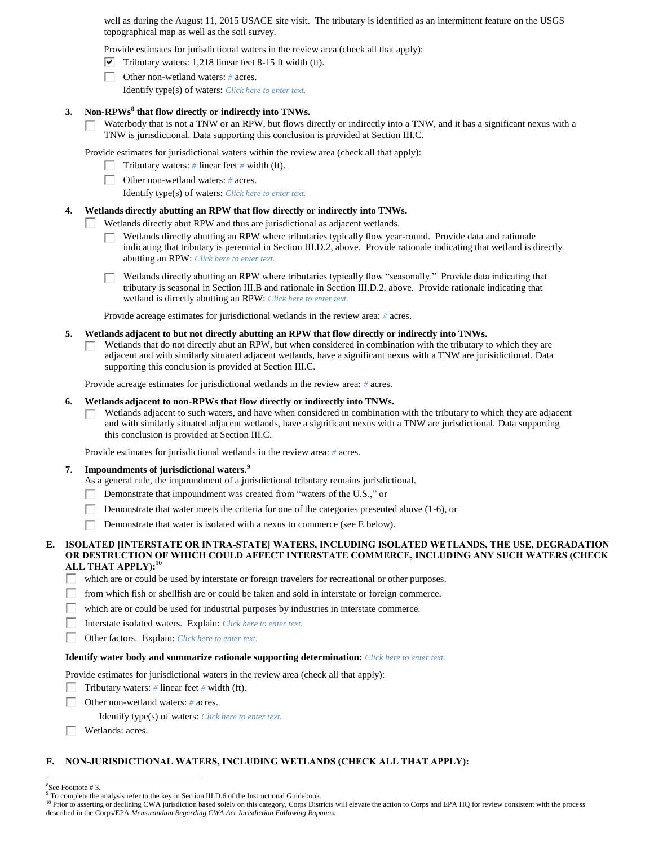well as during the August 11, 2015 USACE site visit. The tributary is identified as an intermittent feature on the USGS topographical map as well as the soil survey.

Provide estimates for jurisdictional waters in the review area (check all that apply):

- $\nabla$  Tributary waters: 1,218 linear feet 8-15 ft width (ft).
- Other non-wetland waters: *#* acres.

Identify type(s) of waters: *Click here to enter text.*

## **3. Non-RPWs<sup>8</sup> that flow directly or indirectly into TNWs.**

Waterbody that is not a TNW or an RPW, but flows directly or indirectly into a TNW, and it has a significant nexus with a П. TNW is jurisdictional. Data supporting this conclusion is provided at Section III.C.

Provide estimates for jurisdictional waters within the review area (check all that apply):

- Tributary waters:  $\#$  linear feet  $\#$  width (ft).
- П. Other non-wetland waters: *#* acres.

П

Identify type(s) of waters: *Click here to enter text.*

### **4. Wetlands directly abutting an RPW that flow directly or indirectly into TNWs.**

Wetlands directly abut RPW and thus are jurisdictional as adjacent wetlands.

- Wetlands directly abutting an RPW where tributaries typically flow year-round. Provide data and rationale П. indicating that tributary is perennial in Section III.D.2, above. Provide rationale indicating that wetland is directly abutting an RPW: *Click here to enter text.*
- Wetlands directly abutting an RPW where tributaries typically flow "seasonally." Provide data indicating that tributary is seasonal in Section III.B and rationale in Section III.D.2, above. Provide rationale indicating that wetland is directly abutting an RPW: *Click here to enter text.*

Provide acreage estimates for jurisdictional wetlands in the review area: *#* acres.

#### **5. Wetlands adjacent to but not directly abutting an RPW that flow directly or indirectly into TNWs.**

Wetlands that do not directly abut an RPW, but when considered in combination with the tributary to which they are adjacent and with similarly situated adjacent wetlands, have a significant nexus with a TNW are jurisidictional. Data supporting this conclusion is provided at Section III.C.

Provide acreage estimates for jurisdictional wetlands in the review area: *#* acres.

#### **6. Wetlands adjacent to non-RPWs that flow directly or indirectly into TNWs.**

Wetlands adjacent to such waters, and have when considered in combination with the tributary to which they are adjacent п and with similarly situated adjacent wetlands, have a significant nexus with a TNW are jurisdictional. Data supporting this conclusion is provided at Section III.C.

Provide estimates for jurisdictional wetlands in the review area: *#* acres.

### **7. Impoundments of jurisdictional waters. 9**

As a general rule, the impoundment of a jurisdictional tributary remains jurisdictional.

- Demonstrate that impoundment was created from "waters of the U.S.," or Г
- Demonstrate that water meets the criteria for one of the categories presented above (1-6), or
- П Demonstrate that water is isolated with a nexus to commerce (see E below).

### **E. ISOLATED [INTERSTATE OR INTRA-STATE] WATERS, INCLUDING ISOLATED WETLANDS, THE USE, DEGRADATION OR DESTRUCTION OF WHICH COULD AFFECT INTERSTATE COMMERCE, INCLUDING ANY SUCH WATERS (CHECK ALL THAT APPLY):<sup>10</sup>**

- П. which are or could be used by interstate or foreign travelers for recreational or other purposes.
- П from which fish or shellfish are or could be taken and sold in interstate or foreign commerce.
- П. which are or could be used for industrial purposes by industries in interstate commerce.
- П. Interstate isolated waters.Explain: *Click here to enter text.*
- п Other factors.Explain: *Click here to enter text.*

#### **Identify water body and summarize rationale supporting determination:** *Click here to enter text.*

Provide estimates for jurisdictional waters in the review area (check all that apply):

- Tributary waters:  $\#$  linear feet  $\#$  width (ft).
- П. Other non-wetland waters: *#* acres.
	- Identify type(s) of waters: *Click here to enter text.*
- Wetlands: acres. г.

## **F. NON-JURISDICTIONAL WATERS, INCLUDING WETLANDS (CHECK ALL THAT APPLY):**

 $\overline{a}$ 

<sup>8</sup> See Footnote # 3.

<sup>&</sup>lt;sup>9</sup> To complete the analysis refer to the key in Section III.D.6 of the Instructional Guidebook.

<sup>&</sup>lt;sup>10</sup> Prior to asserting or declining CWA jurisdiction based solely on this category, Corps Districts will elevate the action to Corps and EPA HQ for review consistent with the process described in the Corps/EPA *Memorandum Regarding CWA Act Jurisdiction Following Rapanos.*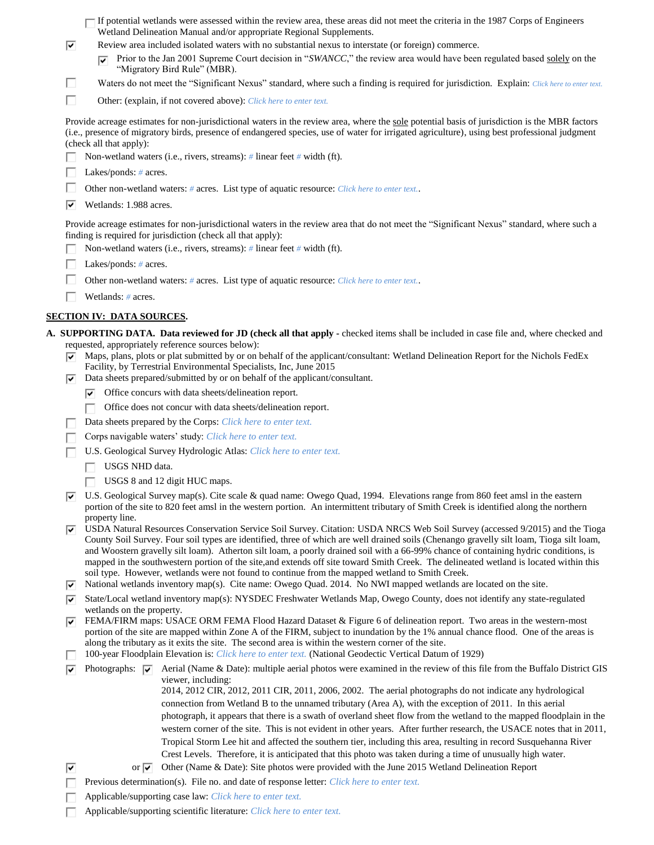|        | If potential wetlands were assessed within the review area, these areas did not meet the criteria in the 1987 Corps of Engineers<br>Wetland Delineation Manual and/or appropriate Regional Supplements.                                                                                                                                                                                                                                                                                                                                                                                                          |  |  |  |  |  |
|--------|------------------------------------------------------------------------------------------------------------------------------------------------------------------------------------------------------------------------------------------------------------------------------------------------------------------------------------------------------------------------------------------------------------------------------------------------------------------------------------------------------------------------------------------------------------------------------------------------------------------|--|--|--|--|--|
| ⊽      | Review area included isolated waters with no substantial nexus to interstate (or foreign) commerce.                                                                                                                                                                                                                                                                                                                                                                                                                                                                                                              |  |  |  |  |  |
|        | Prior to the Jan 2001 Supreme Court decision in "SWANCC," the review area would have been regulated based solely on the<br>"Migratory Bird Rule" (MBR).                                                                                                                                                                                                                                                                                                                                                                                                                                                          |  |  |  |  |  |
| H      | Waters do not meet the "Significant Nexus" standard, where such a finding is required for jurisdiction. Explain: Click here to enter text.                                                                                                                                                                                                                                                                                                                                                                                                                                                                       |  |  |  |  |  |
| П      | Other: (explain, if not covered above): Click here to enter text.                                                                                                                                                                                                                                                                                                                                                                                                                                                                                                                                                |  |  |  |  |  |
|        | Provide acreage estimates for non-jurisdictional waters in the review area, where the sole potential basis of jurisdiction is the MBR factors<br>(i.e., presence of migratory birds, presence of endangered species, use of water for irrigated agriculture), using best professional judgment<br>(check all that apply):                                                                                                                                                                                                                                                                                        |  |  |  |  |  |
|        | Non-wetland waters (i.e., rivers, streams): $\#$ linear feet $\#$ width (ft).                                                                                                                                                                                                                                                                                                                                                                                                                                                                                                                                    |  |  |  |  |  |
|        | Lakes/ponds: # acres.                                                                                                                                                                                                                                                                                                                                                                                                                                                                                                                                                                                            |  |  |  |  |  |
|        | Other non-wetland waters: # acres. List type of aquatic resource: Click here to enter text                                                                                                                                                                                                                                                                                                                                                                                                                                                                                                                       |  |  |  |  |  |
| ∣V     | Wetlands: 1.988 acres.                                                                                                                                                                                                                                                                                                                                                                                                                                                                                                                                                                                           |  |  |  |  |  |
|        | Provide acreage estimates for non-jurisdictional waters in the review area that do not meet the "Significant Nexus" standard, where such a<br>finding is required for jurisdiction (check all that apply):<br>Non-wetland waters (i.e., rivers, streams): $\#$ linear feet $\#$ width (ft).                                                                                                                                                                                                                                                                                                                      |  |  |  |  |  |
|        | Lakes/ponds: $# \, \text{acres.}$                                                                                                                                                                                                                                                                                                                                                                                                                                                                                                                                                                                |  |  |  |  |  |
|        |                                                                                                                                                                                                                                                                                                                                                                                                                                                                                                                                                                                                                  |  |  |  |  |  |
|        | Other non-wetland waters: # acres. List type of aquatic resource: Click here to enter text<br>Wetlands: # acres.                                                                                                                                                                                                                                                                                                                                                                                                                                                                                                 |  |  |  |  |  |
|        |                                                                                                                                                                                                                                                                                                                                                                                                                                                                                                                                                                                                                  |  |  |  |  |  |
|        | <u>SECTION IV: DATA SOURCES.</u>                                                                                                                                                                                                                                                                                                                                                                                                                                                                                                                                                                                 |  |  |  |  |  |
|        | A. SUPPORTING DATA. Data reviewed for JD (check all that apply - checked items shall be included in case file and, where checked and<br>requested, appropriately reference sources below):                                                                                                                                                                                                                                                                                                                                                                                                                       |  |  |  |  |  |
| ▿<br>▿ | Maps, plans, plots or plat submitted by or on behalf of the applicant/consultant: Wetland Delineation Report for the Nichols FedEx<br>Facility, by Terrestrial Environmental Specialists, Inc, June 2015<br>Data sheets prepared/submitted by or on behalf of the applicant/consultant.                                                                                                                                                                                                                                                                                                                          |  |  |  |  |  |
|        | Office concurs with data sheets/delineation report.<br>⊵                                                                                                                                                                                                                                                                                                                                                                                                                                                                                                                                                         |  |  |  |  |  |
|        | Office does not concur with data sheets/delineation report.<br>п                                                                                                                                                                                                                                                                                                                                                                                                                                                                                                                                                 |  |  |  |  |  |
|        | Data sheets prepared by the Corps: Click here to enter text.                                                                                                                                                                                                                                                                                                                                                                                                                                                                                                                                                     |  |  |  |  |  |
|        | Corps navigable waters' study: Click here to enter text.                                                                                                                                                                                                                                                                                                                                                                                                                                                                                                                                                         |  |  |  |  |  |
|        | U.S. Geological Survey Hydrologic Atlas: Click here to enter text.                                                                                                                                                                                                                                                                                                                                                                                                                                                                                                                                               |  |  |  |  |  |
|        | USGS NHD data.                                                                                                                                                                                                                                                                                                                                                                                                                                                                                                                                                                                                   |  |  |  |  |  |
|        | USGS 8 and 12 digit HUC maps.                                                                                                                                                                                                                                                                                                                                                                                                                                                                                                                                                                                    |  |  |  |  |  |
| ∣∽     | U.S. Geological Survey map(s). Cite scale & quad name: Owego Quad, 1994. Elevations range from 860 feet amsl in the eastern<br>portion of the site to 820 feet amsl in the western portion. An intermittent tributary of Smith Creek is identified along the northern                                                                                                                                                                                                                                                                                                                                            |  |  |  |  |  |
| 1Й     | property line.<br>USDA Natural Resources Conservation Service Soil Survey. Citation: USDA NRCS Web Soil Survey (accessed 9/2015) and the Tioga<br>County Soil Survey. Four soil types are identified, three of which are well drained soils (Chenango gravelly silt loam, Tioga silt loam,<br>and Woostern gravelly silt loam). Atherton silt loam, a poorly drained soil with a 66-99% chance of containing hydric conditions, is<br>mapped in the southwestern portion of the site, and extends off site toward Smith Creek. The delineated wetland is located within this                                     |  |  |  |  |  |
| ∣V     | soil type. However, wetlands were not found to continue from the mapped wetland to Smith Creek.<br>National wetlands inventory map(s). Cite name: Owego Quad. 2014. No NWI mapped wetlands are located on the site.                                                                                                                                                                                                                                                                                                                                                                                              |  |  |  |  |  |
| ⊽      | State/Local wetland inventory map(s): NYSDEC Freshwater Wetlands Map, Owego County, does not identify any state-regulated                                                                                                                                                                                                                                                                                                                                                                                                                                                                                        |  |  |  |  |  |
| ⊵      | wetlands on the property.<br>FEMA/FIRM maps: USACE ORM FEMA Flood Hazard Dataset & Figure 6 of delineation report. Two areas in the western-most<br>portion of the site are mapped within Zone A of the FIRM, subject to inundation by the 1% annual chance flood. One of the areas is                                                                                                                                                                                                                                                                                                                           |  |  |  |  |  |
|        | along the tributary as it exits the site. The second area is within the western corner of the site.<br>100-year Floodplain Elevation is: Click here to enter text. (National Geodectic Vertical Datum of 1929)                                                                                                                                                                                                                                                                                                                                                                                                   |  |  |  |  |  |
| ⊽      | Photographs: $ \overline{\mathbf{v}} $<br>Aerial (Name & Date): multiple aerial photos were examined in the review of this file from the Buffalo District GIS                                                                                                                                                                                                                                                                                                                                                                                                                                                    |  |  |  |  |  |
|        | viewer, including:<br>2014, 2012 CIR, 2012, 2011 CIR, 2011, 2006, 2002. The aerial photographs do not indicate any hydrological<br>connection from Wetland B to the unnamed tributary (Area A), with the exception of 2011. In this aerial<br>photograph, it appears that there is a swath of overland sheet flow from the wetland to the mapped floodplain in the<br>western corner of the site. This is not evident in other years. After further research, the USACE notes that in 2011,<br>Tropical Storm Lee hit and affected the southern tier, including this area, resulting in record Susquehanna River |  |  |  |  |  |
|        | Crest Levels. Therefore, it is anticipated that this photo was taken during a time of unusually high water.                                                                                                                                                                                                                                                                                                                                                                                                                                                                                                      |  |  |  |  |  |
| ⊽      | or $\overline{ v }$ Other (Name & Date): Site photos were provided with the June 2015 Wetland Delineation Report                                                                                                                                                                                                                                                                                                                                                                                                                                                                                                 |  |  |  |  |  |
|        | Previous determination(s). File no. and date of response letter: Click here to enter text.                                                                                                                                                                                                                                                                                                                                                                                                                                                                                                                       |  |  |  |  |  |
|        | Applicable/supporting case law: Click here to enter text.                                                                                                                                                                                                                                                                                                                                                                                                                                                                                                                                                        |  |  |  |  |  |
|        | Applicable/supporting scientific literature: Click here to enter text.                                                                                                                                                                                                                                                                                                                                                                                                                                                                                                                                           |  |  |  |  |  |